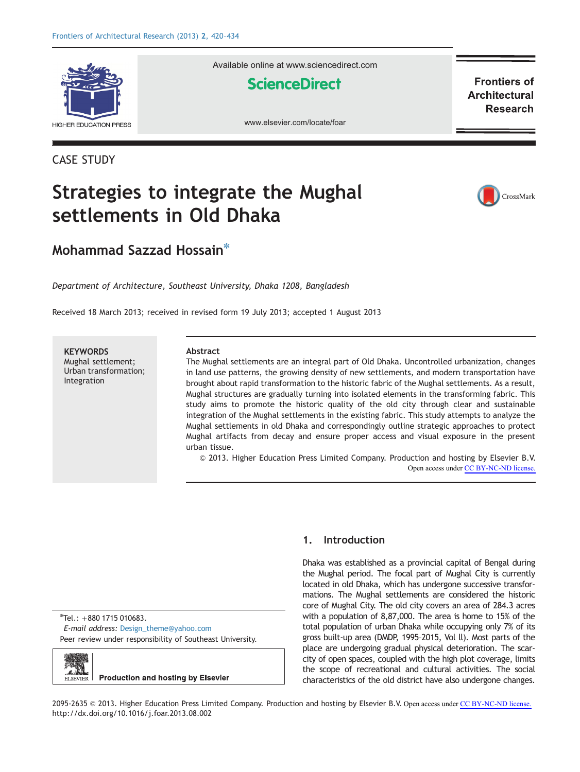

CASE STUDY

Available online at www.sciencedirect.com

**ScienceDirect** 

**Frontiers of Architectural Research** 

www.elsevier.com/locate/foar

# Strategies to integrate the Mughal settlements in Old Dhaka



### Mohammad Sazzad Hossain $*$

Department of Architecture, Southeast University, Dhaka 1208, Bangladesh

Received 18 March 2013; received in revised form 19 July 2013; accepted 1 August 2013

**KEYWORDS** Mughal settlement; Urban transformation; Integration

#### Abstract

The Mughal settlements are an integral part of Old Dhaka. Uncontrolled urbanization, changes in land use patterns, the growing density of new settlements, and modern transportation have brought about rapid transformation to the historic fabric of the Mughal settlements. As a result, Mughal structures are gradually turning into isolated elements in the transforming fabric. This study aims to promote the historic quality of the old city through clear and sustainable integration of the Mughal settlements in the existing fabric. This study attempts to analyze the Mughal settlements in old Dhaka and correspondingly outline strategic approaches to protect Mughal artifacts from decay and ensure proper access and visual exposure in the present urban tissue.

& 2013. Higher Education Press Limited Company. Production and hosting by Elsevier B.V. Open access under [CC BY-NC-ND license.](http://creativecommons.org/licenses/by-nc-nd/4.0/)

n Tel.: +880 1715 010683. E-mail address: [Design\\_theme@yahoo.com](mailto:Design_theme@yahoo.com) Peer review under responsibility of Southeast University.



### 1. Introduction

Dhaka was established as a provincial capital of Bengal during the Mughal period. The focal part of Mughal City is currently located in old Dhaka, which has undergone successive transformations. The Mughal settlements are considered the historic core of Mughal City. The old city covers an area of 284.3 acres with a population of 8,87,000. The area is home to 15% of the total population of urban Dhaka while occupying only 7% of its gross built-up area (DMDP, 1995–2015, Vol ll). Most parts of the place are undergoing gradual physical deterioration. The scarcity of open spaces, coupled with the high plot coverage, limits the scope of recreational and cultural activities. The social characteristics of the old district have also undergone changes.

2095-2635 © 2013. Higher Education Press Limited Company. Production and hosting by Elsevier B.V. Open access under [CC BY-NC-ND license.](http://creativecommons.org/licenses/by-nc-nd/4.0/) [http://dx.doi.org/10.1016/j.foar.2013.08.002](dx.doi.org/10.1016/j.foar.2013.08.002)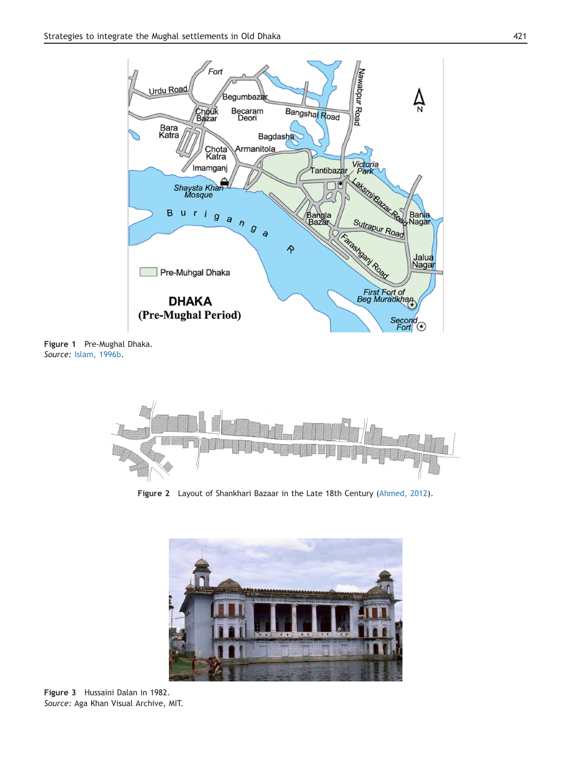

Figure 1 Pre-Mughal Dhaka. Source: Islam, 1996b.



Figure 2 Layout of Shankhari Bazaar in the Late 18th Century (Ahmed, 2012).



Figure 3 Hussaini Dalan in 1982. Source: Aga Khan Visual Archive, MIT.